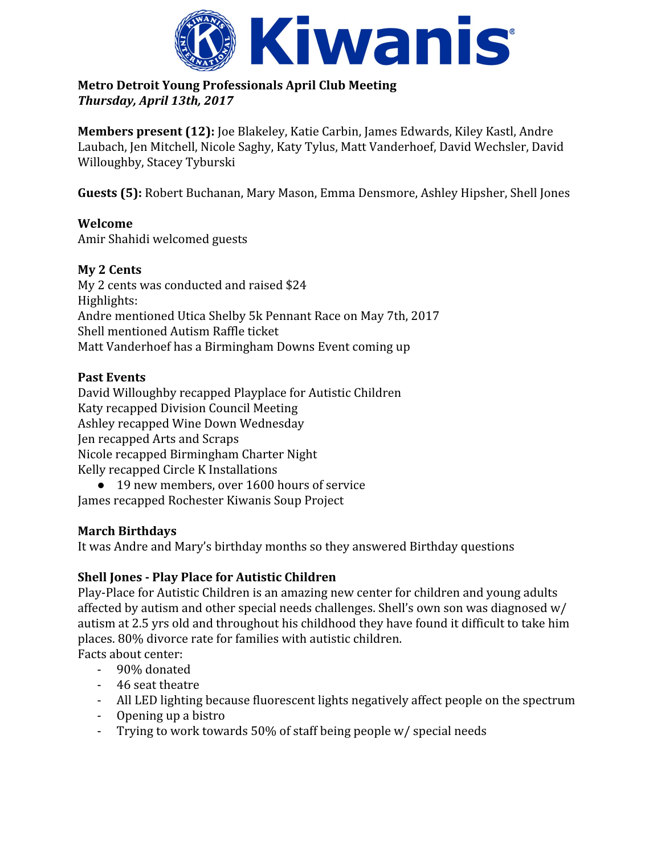

#### **Metro Detroit Young Professionals April Club Meeting** *Thursday, April 13th, 2017*

**Members present (12):** Joe Blakeley, Katie Carbin, James Edwards, Kiley Kastl, Andre Laubach, Jen Mitchell, Nicole Saghy, Katy Tylus, Matt Vanderhoef, David Wechsler, David Willoughby, Stacey Tyburski

**Guests (5):** Robert Buchanan, Mary Mason, Emma Densmore, Ashley Hipsher, Shell Jones

## **Welcome**

Amir Shahidi welcomed guests

## **My 2 Cents**

My 2 cents was conducted and raised \$24 Highlights: Andre mentioned Utica Shelby 5k Pennant Race on May 7th, 2017 Shell mentioned Autism Raffle ticket Matt Vanderhoef has a Birmingham Downs Event coming up

### **Past Events**

David Willoughby recapped Playplace for Autistic Children Katy recapped Division Council Meeting Ashley recapped Wine Down Wednesday Jen recapped Arts and Scraps Nicole recapped Birmingham Charter Night Kelly recapped Circle K Installations

● 19 new members, over 1600 hours of service James recapped Rochester Kiwanis Soup Project

# **March Birthdays**

It was Andre and Mary's birthday months so they answered Birthday questions

# **Shell Jones - Play Place for Autistic Children**

Play-Place for Autistic Children is an amazing new center for children and young adults affected by autism and other special needs challenges. Shell's own son was diagnosed w/ autism at 2.5 yrs old and throughout his childhood they have found it difficult to take him places. 80% divorce rate for families with autistic children.

Facts about center:

- 90% donated
- 46 seat theatre
- All LED lighting because fluorescent lights negatively affect people on the spectrum
- Opening up a bistro
- Trying to work towards 50% of staff being people w/ special needs